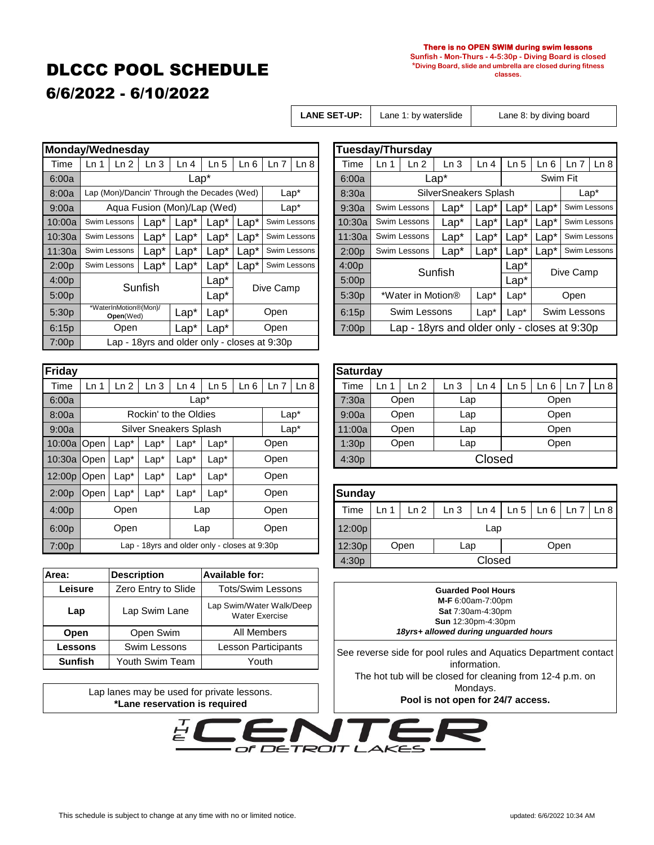# DLCCC POOL SCHEDULE

#### **There is no OPEN SWIM during swim lessons**

**Sunfish - Mon-Thurs - 4-5:30p - Diving Board is closed \*Diving Board, slide and umbrella are closed during fitness classes.**

# 6/6/2022 - 6/10/2022

Lane 1: by waterslide

 $Time \mid Ln 1 \mid Ln 2 \mid Ln 3 \mid Ln 4 \mid Ln 5 \mid Ln 6 \mid Ln 7 \mid Ln 8$ 

**LANE SET-UP:** Lane 1: by waterslide Lane 8: by diving board

Swim Fit

Lap\*

Swim Lessons Swim Lessons Swim Lessons

Open Swim Lessons

|                   | Monday/Wednesday |                                    |         |                                              |         |                |           | <b>Tuesday/Thursday</b> |                   |      |                   |                                     |         |                 |                  |
|-------------------|------------------|------------------------------------|---------|----------------------------------------------|---------|----------------|-----------|-------------------------|-------------------|------|-------------------|-------------------------------------|---------|-----------------|------------------|
| Time              | Ln 1             | Ln 2                               | Ln 3    | Ln 4                                         | Ln 5    | Ln 6           | Ln 7      | Ln 8                    | Time              | Ln 1 | Ln <sub>2</sub>   | Ln <sub>3</sub>                     | Ln 4    | Ln <sub>5</sub> | Ln 6             |
| 6:00a             |                  |                                    |         | Lap*                                         |         |                |           |                         | 6:00a             |      |                   | Lap*                                |         |                 | Swi              |
| 8:00a             |                  |                                    |         | Lap (Mon)/Dancin' Through the Decades (Wed)  |         |                |           | $Lap^*$                 | 8:30a             |      |                   | SilverSneakers Splash               |         |                 |                  |
| 9:00a             |                  |                                    |         | Agua Fusion (Mon)/Lap (Wed)                  |         |                |           | $Lap*$                  | 9:30a             |      | Swim Lessons      | $Lap^*$                             | Lap*    | $Lap^*$         | Lap <sup>*</sup> |
| 10:00a            |                  | Swim Lessons                       | $Lap*$  | $Lap*$                                       | $Lap*$  | $\text{Lap}^*$ |           | Swim Lessons            | 10:30a            |      | Swim Lessons      | $Lap*$                              | $Lap*$  | $Lap*$          | $Lap*$           |
| 10:30a            |                  | Swim Lessons                       | $Lap^*$ | $Lap^*$                                      | $Lap*$  | $\text{Lap}^*$ |           | Swim Lessons            | 11:30a            |      | Swim Lessons      | Lap*                                | $Lap^*$ | $Lap*$          | $Lap*$           |
| 11:30a            |                  | Swim Lessons                       | $Lap*$  | $Lap^*$                                      | $Lap^*$ | $\text{Lap}^*$ |           | Swim Lessons            | 2:00p             |      | Swim Lessons      | $\text{Lap}^*$                      | $Lap*$  | $Lap^*$         | $Lap*$           |
| 2:00p             |                  | Swim Lessons                       | $Lap*$  | $\text{Lap}^*$                               | $Lap*$  | $\text{cap}^*$ |           | Swim Lessons            | 4:00 <sub>p</sub> |      |                   | Sunfish                             |         | $Lap*$          | D                |
| 4:00 <sub>p</sub> |                  |                                    | Sunfish |                                              | $Lap*$  |                |           |                         | 5:00p             |      |                   |                                     |         | $Lap*$          |                  |
| 5:00p             |                  |                                    |         |                                              | $Lap^*$ |                | Dive Camp |                         | 5:30p             |      | *Water in Motion® |                                     | $Lap*$  | $Lap*$          |                  |
| 5:30p             |                  | *WaterInMotion®(Mon)/<br>Open(Wed) |         | Lap*                                         | $Lap*$  |                | Open      |                         | 6:15p             |      | Swim Lessons      |                                     | $Lap*$  | $Lap*$          | Sw               |
| 6:15p             |                  | Open                               |         | Lap*                                         | $Lap*$  |                | Open      |                         | 7:00p             |      |                   | Lap - 18yrs and older only - closes |         |                 |                  |
| 7:00p             |                  |                                    |         | Lap - 18yrs and older only - closes at 9:30p |         |                |           |                         |                   |      |                   |                                     |         |                 |                  |

| Friday |                 |                 |                                              |        |                 |      |        |      | <b>Saturda</b> |  |
|--------|-----------------|-----------------|----------------------------------------------|--------|-----------------|------|--------|------|----------------|--|
| Time   | Ln <sub>1</sub> | Ln <sub>2</sub> | Ln <sub>3</sub>                              | Ln 4   | Ln <sub>5</sub> | Ln 6 | Ln 7   | Ln 8 | Time           |  |
| 6:00a  |                 |                 |                                              | $Lap*$ |                 |      |        |      | 7:30a          |  |
| 8:00a  |                 |                 | Rockin' to the Oldies                        |        |                 |      | $Lap*$ |      | 9:00a          |  |
| 9:00a  |                 |                 | <b>Silver Sneakers Splash</b>                |        |                 |      | $Lap*$ |      | 11:00a         |  |
| 10:00a | Open            | $Lap*$          | $Lap^*$                                      | $Lap*$ | $Lap^*$         |      | Open   |      | 1:30p          |  |
| 10:30a | Open            | $Lap^*$         | $Lap^*$                                      | $Lap*$ | $Lap^*$         |      | Open   |      | 4:30p          |  |
| 12:00p | Open            | $Lap^*$         | $Lap^*$                                      | $Lap*$ | $Lap^*$         |      | Open   |      |                |  |
| 2:00p  | Open            | $Lap^*$         | $Lap^*$                                      | $Lap*$ | $Lap^*$         |      | Open   |      | <b>Sunday</b>  |  |
| 4:00p  |                 | Open            |                                              |        | Lap             |      | Open   |      | Time           |  |
| 6:00p  |                 | Open            |                                              |        | Lap             |      | Open   |      | 12:00p         |  |
| 7:00p  |                 |                 | Lap - 18yrs and older only - closes at 9:30p |        |                 |      |        |      | 12:30p         |  |

| riday        |                 |         |                               |                |                |      |         |      | Saturday |    |      |      |        |              |      |                    |  |
|--------------|-----------------|---------|-------------------------------|----------------|----------------|------|---------|------|----------|----|------|------|--------|--------------|------|--------------------|--|
| Time         | Ln <sub>1</sub> | Ln 2    | Ln 3                          | Ln 4           | Ln 5           | Ln 6 | Ln 7    | Ln 8 | Time     | Ln | Ln 2 | Ln 3 | Ln 4   | Ln 5 $\vert$ |      | Ln 6   Ln 7   Ln 8 |  |
| 6:00a        |                 |         |                               | $\text{Lap}^*$ |                |      |         |      | 7:30a    |    | Open | Lap  |        |              | Open |                    |  |
| 3:00a        |                 |         | Rockin' to the Oldies         |                |                |      | $Lap^*$ |      | 9:00a    |    | Open | Lap  |        |              | Open |                    |  |
| 9:00a        |                 |         | <b>Silver Sneakers Splash</b> |                |                |      | $Lap^*$ |      | 11:00a   |    | Open | Lap  |        |              | Open |                    |  |
|              | $0:00a$ Open    | $Lap^*$ | $Lap*$                        | $Lap^*$        | $\text{Lap}^*$ |      | Open    |      | 1:30p    |    | Open | Lap  |        |              | Open |                    |  |
| $0:30a$ Open |                 | $Lap*$  | $Lap*$                        | $Lap^*$        | $\text{Lap}^*$ |      | Open    |      | 4:30p    |    |      |      | Closed |              |      |                    |  |
|              | $2:00p$ Open    | $Lap^*$ | $Lap^*$                       | $\text{Lap}^*$ | $\text{Lap}^*$ |      | Open    |      |          |    |      |      |        |              |      |                    |  |

Lap - 18yrs and older only - closes at 9:30p

Swim Lessons | Lap\* | Lap\* | Lap\* | Lap\* | Swim Lessons

Sunfish  $\frac{Lap^*}{Lap^*}$  Dive Camp

| 2:00p | ∦Open. | Lap* | $Lap*$ | $\text{Lap}^*$ | $Lap^*$ | Open                                         | Sunday |    |                 |      |        |                          |      |
|-------|--------|------|--------|----------------|---------|----------------------------------------------|--------|----|-----------------|------|--------|--------------------------|------|
| 4:00p |        | Open |        |                | ∟ap     | Open                                         | Time   | Ln | Ln <sub>2</sub> | Ln 3 | Ln 4   | $Ln 5$   $Ln 6$   $Ln 7$ | Ln 8 |
| 6:00p |        | Open |        |                | ∟ap     | Open                                         | 12:00p |    |                 |      | Lap    |                          |      |
| 7:00p |        |      |        |                |         | Lap - 18yrs and older only - closes at 9:30p | 12:30p |    | Open            | ∟ap  |        | Open                     |      |
|       |        |      |        |                |         |                                              | 4:30p  |    |                 |      | Closed |                          |      |

| Area:          | <b>Description</b>  | <b>Available for:</b>                             |  |  |  |  |  |
|----------------|---------------------|---------------------------------------------------|--|--|--|--|--|
| Leisure        | Zero Entry to Slide | <b>Tots/Swim Lessons</b>                          |  |  |  |  |  |
| Lap            | Lap Swim Lane       | Lap Swim/Water Walk/Deep<br><b>Water Exercise</b> |  |  |  |  |  |
| Open           | Open Swim           | All Members                                       |  |  |  |  |  |
| Lessons        | Swim Lessons        | Lesson Participants                               |  |  |  |  |  |
| <b>Sunfish</b> | Youth Swim Team     | Youth                                             |  |  |  |  |  |

Lap lanes may be used for private lessons.

**Guarded Pool Hours M-F** 6:00am-7:00pm **Sat** 7:30am-4:30pm **Sun** 12:30pm-4:30pm *18yrs+ allowed during unguarded hours*

See reverse side for pool rules and Aquatics Department contact information. The hot tub will be closed for cleaning from 12-4 p.m. on Mondays. **Pool is not open for 24/7 access.**

**\*Lane reservation is required** 

DETROIT L

AKE

 $\Gamma$